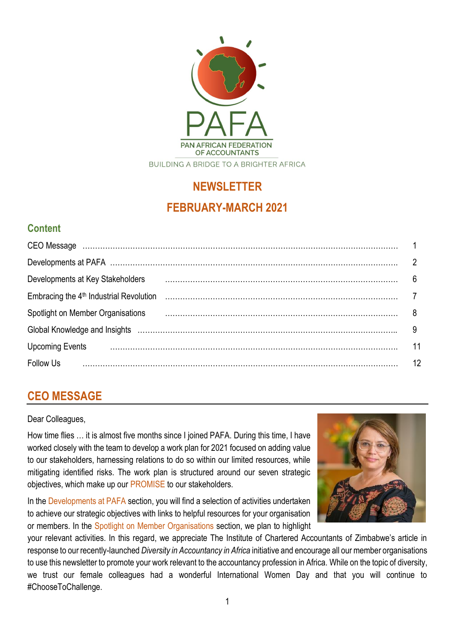

# **NEWSLETTER FEBRUARY-MARCH 2021**

## **Content**

| CEO Message manufactured contracts and all the contracts of the contracts of the contracts of the contracts of |    |
|----------------------------------------------------------------------------------------------------------------|----|
|                                                                                                                |    |
| Developments at Key Stakeholders                                                                               | 6  |
| Embracing the 4 <sup>th</sup> Industrial Revolution                                                            |    |
| Spotlight on Member Organisations                                                                              |    |
| Global Knowledge and Insights (and continuum continuum continuum control of the control of the control of the  |    |
| <b>Upcoming Events</b>                                                                                         |    |
| <b>Follow Us</b>                                                                                               | 12 |

## **CEO MESSAGE**

#### Dear Colleagues,

How time flies … it is almost five months since I joined PAFA. During this time, I have worked closely with the team to develop a work plan for 2021 focused on adding value to our stakeholders, harnessing relations to do so within our limited resources, while mitigating identified risks. The work plan is structured around our seven strategic objectives, which make up our PROMISE to our stakeholders.

In the Developments at PAFA section, you will find a selection of activities undertaken to achieve our strategic objectives with links to helpful resources for your organisation or members. In the Spotlight on Member Organisations section, we plan to highlight



your relevant activities. In this regard, we appreciate The Institute of Chartered Accountants of Zimbabwe's article in response to our recently-launched *Diversity in Accountancy in Africa* initiative and encourage all our member organisations to use this newsletter to promote your work relevant to the accountancy profession in Africa. While on the topic of diversity, we trust our female colleagues had a wonderful International Women Day and that you will continue to #ChooseToChallenge.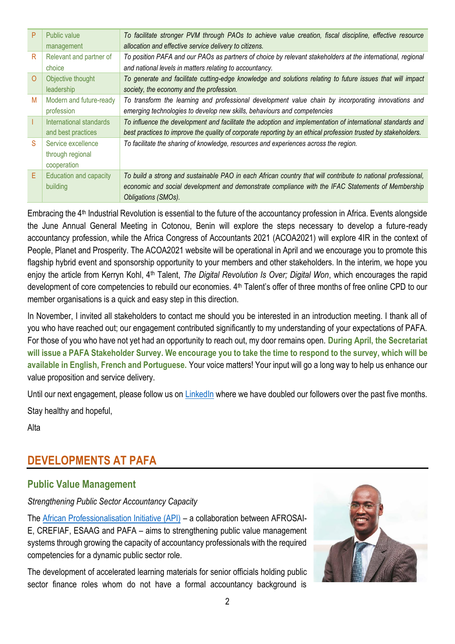| <b>Public value</b>     | To facilitate stronger PVM through PAOs to achieve value creation, fiscal discipline, effective resource       |
|-------------------------|----------------------------------------------------------------------------------------------------------------|
| management              | allocation and effective service delivery to citizens.                                                         |
| Relevant and partner of | To position PAFA and our PAOs as partners of choice by relevant stakeholders at the international, regional    |
| choice                  | and national levels in matters relating to accountancy.                                                        |
| Objective thought       | To generate and facilitate cutting-edge knowledge and solutions relating to future issues that will impact     |
| leadership              | society, the economy and the profession.                                                                       |
| Modern and future-ready | To transform the learning and professional development value chain by incorporating innovations and            |
| profession              | emerging technologies to develop new skills, behaviours and competencies                                       |
| International standards | To influence the development and facilitate the adoption and implementation of international standards and     |
| and best practices      | best practices to improve the quality of corporate reporting by an ethical profession trusted by stakeholders. |
| Service excellence      | To facilitate the sharing of knowledge, resources and experiences across the region.                           |
| through regional        |                                                                                                                |
| cooperation             |                                                                                                                |
| Education and capacity  | To build a strong and sustainable PAO in each African country that will contribute to national professional,   |
| building                | economic and social development and demonstrate compliance with the IFAC Statements of Membership              |
|                         | Obligations (SMOs).                                                                                            |
|                         |                                                                                                                |

Embracing the 4th Industrial Revolution is essential to the future of the accountancy profession in Africa. Events alongside the June Annual General Meeting in Cotonou, Benin will explore the steps necessary to develop a future-ready accountancy profession, while the Africa Congress of Accountants 2021 (ACOA2021) will explore 4IR in the context of People, Planet and Prosperity. The ACOA2021 website will be operational in April and we encourage you to promote this flagship hybrid event and sponsorship opportunity to your members and other stakeholders. In the interim, we hope you enjoy the article from Kerryn Kohl, 4th Talent, *The Digital Revolution Is Over; Digital Won*, which encourages the rapid development of core competencies to rebuild our economies. 4<sup>th</sup> Talent's offer of three months of free online CPD to our member organisations is a quick and easy step in this direction.

In November, I invited all stakeholders to contact me should you be interested in an introduction meeting. I thank all of you who have reached out; our engagement contributed significantly to my understanding of your expectations of PAFA. For those of you who have not yet had an opportunity to reach out, my door remains open. **During April, the Secretariat will issue a PAFA Stakeholder Survey. We encourage you to take the time to respond to the survey, which will be available in English, French and Portuguese.** Your voice matters! Your input will go a long way to help us enhance our value proposition and service delivery.

Until our next engagement, please follow us on [LinkedIn](https://www.linkedin.com/company/11699302/admin/) where we have doubled our followers over the past five months. Stay healthy and hopeful,

Alta

## **DEVELOPMENTS AT PAFA**

## **Public Value Management**

*Strengthening Public Sector Accountancy Capacity*

The [African Professionalisation Initiative \(API\)](https://youtu.be/IbbwOceujIk) – a collaboration between AFROSAI-E, CREFIAF, ESAAG and PAFA – aims to strengthening public value management systems through growing the capacity of accountancy professionals with the required competencies for a dynamic public sector role.

The development of accelerated learning materials for senior officials holding public sector finance roles whom do not have a formal accountancy background is

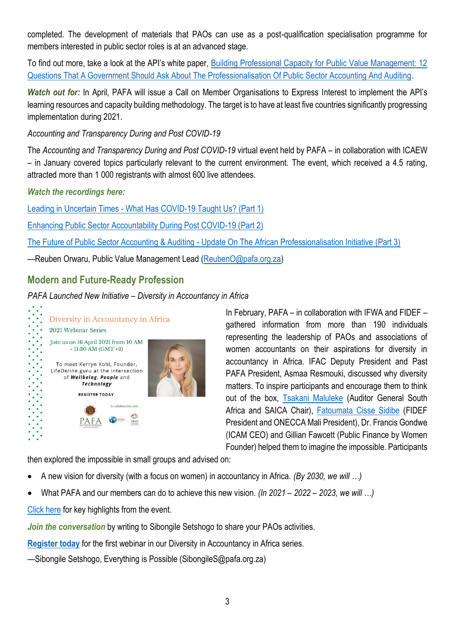completed. The development of materials that PAOs can use as a post-qualification specialisation programme for members interested in public sector roles is at an advanced stage.

To find out more, take a look at the API's white paper, [Building Professional Capacity for Public Value Management: 12](https://professionalisation.africa/asking-the-right-questions-an-api-white-paper-on-the-questions-government-needs-to-ask-for-effective-professional-capacity-building/)  [Questions That A Government Should Ask About The Professionalisation Of Public Sector Accounting And Auditing.](https://professionalisation.africa/asking-the-right-questions-an-api-white-paper-on-the-questions-government-needs-to-ask-for-effective-professional-capacity-building/)

*Watch out for:* In April, PAFA will issue a Call on Member Organisations to Express Interest to implement the API's learning resources and capacity building methodology. The target is to have at least five countries significantly progressing implementation during 2021.

*Accounting and Transparency During and Post COVID-19*

The *Accounting and Transparency During and Post COVID-19* virtual event held by PAFA – in collaboration with ICAEW – in January covered topics particularly relevant to the current environment. The event, which received a 4.5 rating, attracted more than 1 000 registrants with almost 600 live attendees.

*Watch the recordings here:*

Leading in Uncertain Times - [What Has COVID-19 Taught Us?](https://youtu.be/rTJN7TxJR8I) (Part 1)

[Enhancing Public Sector Accountability During Post COVID-19 \(Part 2\)](https://youtu.be/32-WJsz6HAY)

The Future of Public Sector Accounting & Auditing - [Update On The African Professionalisation Initiative \(Part 3\)](https://youtu.be/WTxdhvouOAs)

—Reuben Orwaru, Public Value Management Lead [\(ReubenO@pafa.org.za\)](mailto:ReubenO@pafa.org.za)

## **Modern and Future-Ready Profession**

#### *PAFA Launched New Initiative – Diversity in Accountancy in Africa*



In February, PAFA – in collaboration with IFWA and FIDEF – gathered information from more than 190 individuals representing the leadership of PAOs and associations of women accountants on their aspirations for diversity in accountancy in Africa. IFAC Deputy President and Past PAFA President, Asmaa Resmouki, discussed why diversity matters. To inspire participants and encourage them to think out of the box, [Tsakani Maluleke](https://youtu.be/Ihe9YF9_9rc) (Auditor General South Africa and SAICA Chair), [Fatoumata Cisse Sidibe](https://youtu.be/HV1wHhzB1AU) (FIDEF President and ONECCA Mali President), Dr. Francis Gondwe (ICAM CEO) and Gillian Fawcett (Public Finance by Women Founder) helped them to imagine the impossible. Participants

then explored the impossible in small groups and advised on:

- A new vision for diversity (with a focus on women) in accountancy in Africa. *(By 2030, we will …)*
- What PAFA and our members can do to achieve this new vision. *(In 2021 – 2022 – 2023, we will …)*

[Click here](https://drive.google.com/file/d/1Wd-U2vUK7_XaCTQJ8HAgoPbMjW0sABkk/view?usp=sharing) for key highlights from the event.

**Join the conversation** by writing to Sibongile Setshogo to share your PAOs activities.

**[Register today](https://us02web.zoom.us/meeting/register/tZItcOyhrj4qH9cu_98yhI8xXaM2m0b6Rasq)** for the first webinar in our Diversity in Accountancy in Africa series.

—Sibongile Setshogo, Everything is Possible (SibongileS@pafa.org.za)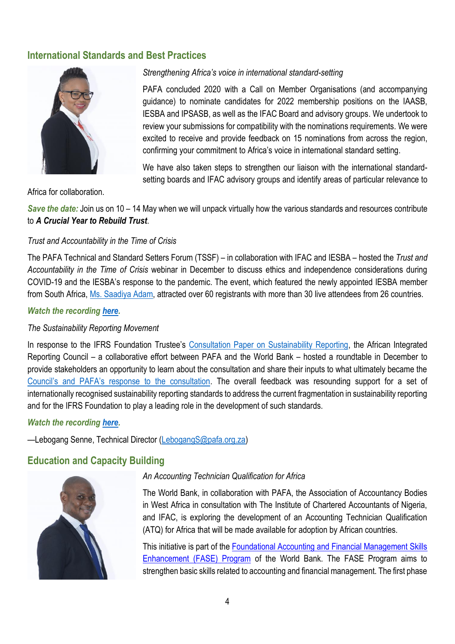### **International Standards and Best Practices**



*Strengthening Africa's voice in international standard-setting*

PAFA concluded 2020 with a Call on Member Organisations (and accompanying guidance) to nominate candidates for 2022 membership positions on the IAASB, IESBA and IPSASB, as well as the IFAC Board and advisory groups. We undertook to review your submissions for compatibility with the nominations requirements. We were excited to receive and provide feedback on 15 nominations from across the region, confirming your commitment to Africa's voice in international standard setting.

We have also taken steps to strengthen our liaison with the international standardsetting boards and IFAC advisory groups and identify areas of particular relevance to

Africa for collaboration.

*Save the date:* Join us on 10 – 14 May when we will unpack virtually how the various standards and resources contribute to *A Crucial Year to Rebuild Trust*.

#### *Trust and Accountability in the Time of Crisis*

The PAFA Technical and Standard Setters Forum (TSSF) – in collaboration with IFAC and IESBA – hosted the *Trust and Accountability in the Time of Crisis* webinar in December to discuss ethics and independence considerations during COVID-19 and the IESBA's response to the pandemic. The event, which featured the newly appointed IESBA member from South Africa, Ms. [Saadiya Adam,](https://www.linkedin.com/in/saadiya-adam-ca-sa-b1771443/) attracted over 60 registrants with more than 30 live attendees from 26 countries.

#### *Watch the recording [here.](https://www.youtube.com/watch?v=9EDCBwUoLI0)*

#### *The Sustainability Reporting Movement*

In response to the IFRS Foundation Trustee's [Consultation Paper on Sustainability Reporting,](https://drive.google.com/file/d/1q_7ru0mUigfXIle0ZWIgiaSFwKPHZAO0/view?usp=sharing) the African Integrated Reporting Council – a collaborative effort between PAFA and the World Bank – hosted a roundtable in December to provide stakeholders an opportunity to learn about the consultation and share their inputs to what ultimately became the Council's [and PAFA's response to the consultation](https://drive.google.com/file/d/1jUeNS8eFHwzEm7AX_ir-UJMLYz1DFOXn/view?usp=sharing). The overall feedback was resounding support for a set of internationally recognised sustainability reporting standards to address the current fragmentation in sustainability reporting and for the IFRS Foundation to play a leading role in the development of such standards.

#### *Watch the recording [here.](https://drive.google.com/file/d/1g5k1-BowdS2yCw9eITpDtNUnrfLoQBC0/view?usp=sharing)*

—Lebogang Senne, Technical Director [\(LebogangS@pafa.org.za\)](mailto:LebogangS@pafa.org.za)

#### **Education and Capacity Building**



#### *An Accounting Technician Qualification for Africa*

The World Bank, in collaboration with PAFA, the Association of Accountancy Bodies in West Africa in consultation with The Institute of Chartered Accountants of Nigeria, and IFAC, is exploring the development of an Accounting Technician Qualification (ATQ) for Africa that will be made available for adoption by African countries.

This initiative is part of the [Foundational Accounting and Financial Management Skills](https://cfrr.worldbank.org/programs/fase)  [Enhancement \(FASE\) Program](https://cfrr.worldbank.org/programs/fase) of the World Bank. The FASE Program aims to strengthen basic skills related to accounting and financial management. The first phase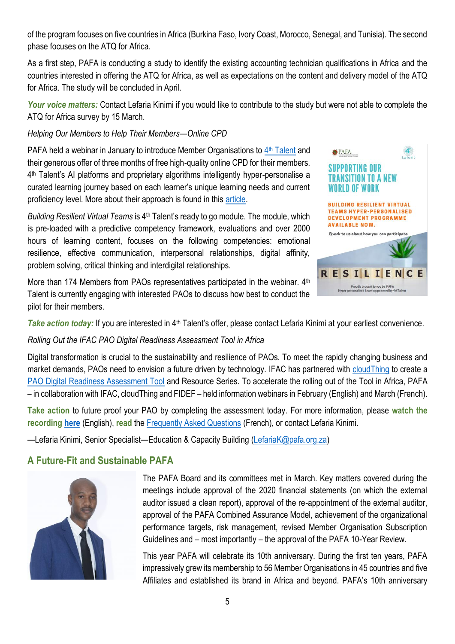of the program focuses on five countries in Africa (Burkina Faso, Ivory Coast, Morocco, Senegal, and Tunisia). The second phase focuses on the ATQ for Africa.

As a first step, PAFA is conducting a study to identify the existing accounting technician qualifications in Africa and the countries interested in offering the ATQ for Africa, as well as expectations on the content and delivery model of the ATQ for Africa. The study will be concluded in April.

*Your voice matters:* Contact Lefaria Kinimi if you would like to contribute to the study but were not able to complete the ATQ for Africa survey by 15 March.

#### *Helping Our Members to Help Their Members—Online CPD*

PAFA held a webinar in January to introduce Member Organisations to 4<sup>th</sup> [Talent](https://protect-za.mimecast.com/s/VGGsCX6XLJIXLgjQik1ZrV?domain=4thtalent.com) and their generous offer of three months of free high-quality online CPD for their members. 4 th Talent's AI platforms and proprietary algorithms intelligently hyper-personalise a curated learning journey based on each learner's unique learning needs and current proficiency level. More about their approach is found in this [article.](https://protect-za.mimecast.com/s/I2XOCY6YWKILyvm7FMn2AO?domain=talenttalks.net)

*Building Resilient Virtual Teams* is 4<sup>th</sup> Talent's ready to go module. The module, which is pre-loaded with a predictive competency framework, evaluations and over 2000 hours of learning content, focuses on the following competencies: emotional resilience, effective communication, interpersonal relationships, digital affinity, problem solving, critical thinking and interdigital relationships.

More than 174 Members from PAOs representatives participated in the webinar. 4<sup>th</sup> Talent is currently engaging with interested PAOs to discuss how best to conduct the pilot for their members.



*Take action today:* If you are interested in 4<sup>th</sup> Talent's offer, please contact Lefaria Kinimi at your earliest convenience.

#### *Rolling Out the IFAC [PAO Digital Readiness Assessment Tool](https://protect-za.mimecast.com/s/1xy6CQ1Knyf66rOJfAjHzs?domain=ifac.org) in Africa*

Digital transformation is crucial to the sustainability and resilience of PAOs. To meet the rapidly changing business and market demands, PAOs need to envision a future driven by technology. IFAC has partnered with [cloudThing](https://www.cloudthing.com/) to create a [PAO Digital Readiness Assessment Tool](https://protect-za.mimecast.com/s/1xy6CQ1Knyf66rOJfAjHzs?domain=ifac.org) and Resource Series. To accelerate the rolling out of the Tool in Africa, PAFA – in collaboration with IFAC, cloudThing and FIDEF – held information webinars in February (English) and March (French).

**Take action** to future proof your PAO by completing the assessment today. For more information, please **watch the recording [here](https://www.youtube.com/watch?v=Rc9MAAms2mU)** (English), **read** the [Frequently Asked Questions](https://protect-za.mimecast.com/s/uzhHCQ1Knyf6BkWgSxiQO2?domain=ifac.org) (French), or contact Lefaria Kinimi.

—Lefaria Kinimi, Senior Specialist—Education & Capacity Building [\(LefariaK@pafa.org.za\)](mailto:LefariaK@pafa.org.za)

### **A Future-Fit and Sustainable PAFA**



The PAFA Board and its committees met in March. Key matters covered during the meetings include approval of the 2020 financial statements (on which the external auditor issued a clean report), approval of the re-appointment of the external auditor, approval of the PAFA Combined Assurance Model, achievement of the organizational performance targets, risk management, revised Member Organisation Subscription Guidelines and – most importantly – the approval of the PAFA 10-Year Review.

This year PAFA will celebrate its 10th anniversary. During the first ten years, PAFA impressively grew its membership to 56 Member Organisations in 45 countries and five Affiliates and established its brand in Africa and beyond. PAFA's 10th anniversary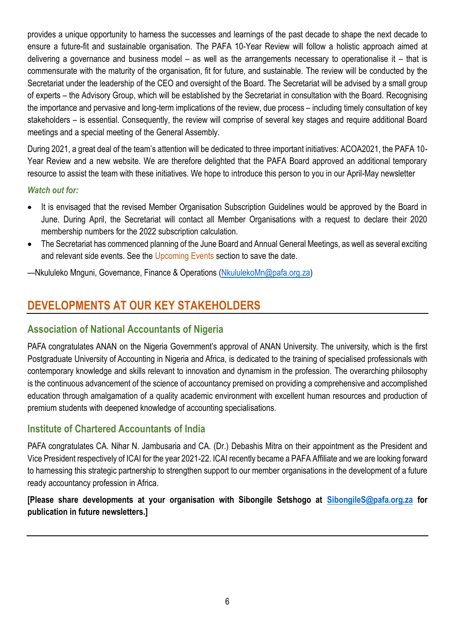provides a unique opportunity to harness the successes and learnings of the past decade to shape the next decade to ensure a future-fit and sustainable organisation. The PAFA 10-Year Review will follow a holistic approach aimed at delivering a governance and business model – as well as the arrangements necessary to operationalise it – that is commensurate with the maturity of the organisation, fit for future, and sustainable. The review will be conducted by the Secretariat under the leadership of the CEO and oversight of the Board. The Secretariat will be advised by a small group of experts – the Advisory Group, which will be established by the Secretariat in consultation with the Board. Recognising the importance and pervasive and long-term implications of the review, due process – including timely consultation of key stakeholders – is essential. Consequently, the review will comprise of several key stages and require additional Board meetings and a special meeting of the General Assembly.

During 2021, a great deal of the team's attention will be dedicated to three important initiatives: ACOA2021, the PAFA 10- Year Review and a new website. We are therefore delighted that the PAFA Board approved an additional temporary resource to assist the team with these initiatives. We hope to introduce this person to you in our April-May newsletter

#### *Watch out for:*

- It is envisaged that the revised Member Organisation Subscription Guidelines would be approved by the Board in June. During April, the Secretariat will contact all Member Organisations with a request to declare their 2020 membership numbers for the 2022 subscription calculation.
- The Secretariat has commenced planning of the June Board and Annual General Meetings, as well as several exciting and relevant side events. See the Upcoming Events section to save the date.

—Nkululeko Mnguni, Governance, Finance & Operations [\(NkululekoMn@pafa.org.za\)](mailto:NkululekoMn@pafa.org.za)

## **DEVELOPMENTS AT OUR KEY STAKEHOLDERS**

### **Association of National Accountants of Nigeria**

PAFA congratulates ANAN on the Nigeria Government's approval of ANAN University. The university, which is the first Postgraduate University of Accounting in Nigeria and Africa, is dedicated to the training of specialised professionals with contemporary knowledge and skills relevant to innovation and dynamism in the profession. The overarching philosophy is the continuous advancement of the science of accountancy premised on providing a comprehensive and accomplished education through amalgamation of a quality academic environment with excellent human resources and production of premium students with deepened knowledge of accounting specialisations.

#### **Institute of Chartered Accountants of India**

PAFA congratulates CA. Nihar N. Jambusaria and CA. (Dr.) Debashis Mitra on their appointment as the President and Vice President respectively of ICAI for the year 2021-22. ICAI recently became a PAFA Affiliate and we are looking forward to harnessing this strategic partnership to strengthen support to our member organisations in the development of a future ready accountancy profession in Africa.

### **[Please share developments at your organisation with Sibongile Setshogo at [SibongileS@pafa.org.za](mailto:SibongileS@pafa.org.za) for publication in future newsletters.]**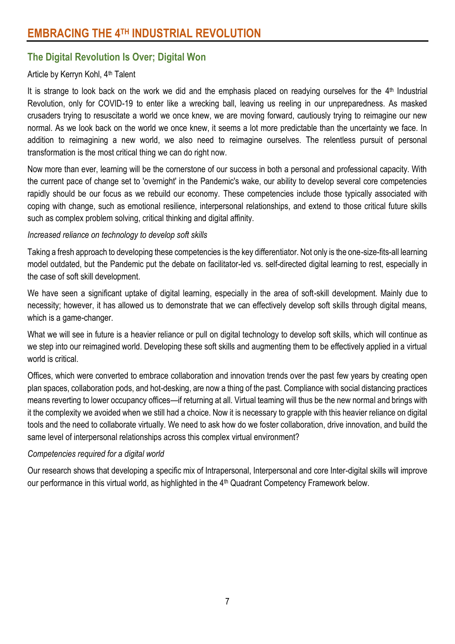## **The Digital Revolution Is Over; Digital Won**

#### Article by Kerryn Kohl, 4<sup>th</sup> Talent

It is strange to look back on the work we did and the emphasis placed on readying ourselves for the 4<sup>th</sup> Industrial Revolution, only for COVID-19 to enter like a wrecking ball, leaving us reeling in our unpreparedness. As masked crusaders trying to resuscitate a world we once knew, we are moving forward, cautiously trying to reimagine our new normal. As we look back on the world we once knew, it seems a lot more predictable than the uncertainty we face. In addition to reimagining a new world, we also need to reimagine ourselves. The relentless pursuit of personal transformation is the most critical thing we can do right now.

Now more than ever, learning will be the cornerstone of our success in both a personal and professional capacity. With the current pace of change set to 'overnight' in the Pandemic's wake, our ability to develop several core competencies rapidly should be our focus as we rebuild our economy. These competencies include those typically associated with coping with change, such as emotional resilience, interpersonal relationships, and extend to those critical future skills such as complex problem solving, critical thinking and digital affinity.

#### *Increased reliance on technology to develop soft skills*

Taking a fresh approach to developing these competencies is the key differentiator. Not only is the one-size-fits-all learning model outdated, but the Pandemic put the debate on facilitator-led vs. self-directed digital learning to rest, especially in the case of soft skill development.

We have seen a significant uptake of digital learning, especially in the area of soft-skill development. Mainly due to necessity; however, it has allowed us to demonstrate that we can effectively develop soft skills through digital means, which is a game-changer.

What we will see in future is a heavier reliance or pull on digital technology to develop soft skills, which will continue as we step into our reimagined world. Developing these soft skills and augmenting them to be effectively applied in a virtual world is critical.

Offices, which were converted to embrace collaboration and innovation trends over the past few years by creating open plan spaces, collaboration pods, and hot-desking, are now a thing of the past. Compliance with social distancing practices means reverting to lower occupancy offices—if returning at all. Virtual teaming will thus be the new normal and brings with it the complexity we avoided when we still had a choice. Now it is necessary to grapple with this heavier reliance on digital tools and the need to collaborate virtually. We need to ask how do we foster collaboration, drive innovation, and build the same level of interpersonal relationships across this complex virtual environment?

#### *Competencies required for a digital world*

Our research shows that developing a specific mix of Intrapersonal, Interpersonal and core Inter-digital skills will improve our performance in this virtual world, as highlighted in the 4<sup>th</sup> Quadrant Competency Framework below.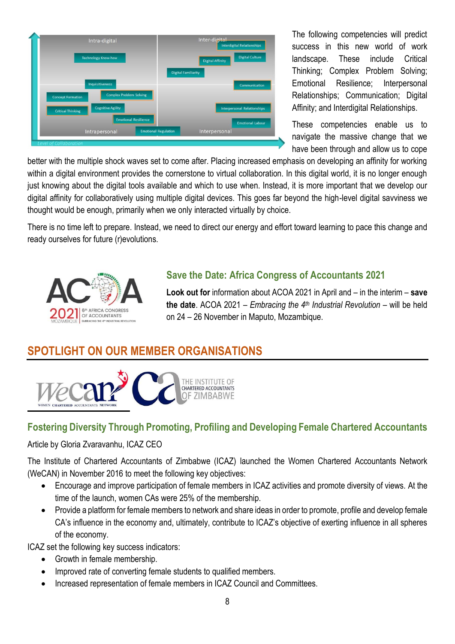| <b>Digital Culture</b><br><b>Digital Affinity</b><br><b>Digital Familiarity</b><br>Communication |
|--------------------------------------------------------------------------------------------------|
|                                                                                                  |
|                                                                                                  |
|                                                                                                  |
|                                                                                                  |
| <b>Interpersonal Relationships</b>                                                               |
| <b>Emotional Labour</b>                                                                          |
| Interpersonal                                                                                    |
|                                                                                                  |

The following competencies will predict success in this new world of work landscape. These include Critical Thinking; Complex Problem Solving; Emotional Resilience; Interpersonal Relationships; Communication; Digital Affinity; and Interdigital Relationships.

These competencies enable us to navigate the massive change that we have been through and allow us to cope

better with the multiple shock waves set to come after. Placing increased emphasis on developing an affinity for working within a digital environment provides the cornerstone to virtual collaboration. In this digital world, it is no longer enough just knowing about the digital tools available and which to use when. Instead, it is more important that we develop our digital affinity for collaboratively using multiple digital devices. This goes far beyond the high-level digital savviness we thought would be enough, primarily when we only interacted virtually by choice.

There is no time left to prepare. Instead, we need to direct our energy and effort toward learning to pace this change and ready ourselves for future (r)evolutions.



## **Save the Date: Africa Congress of Accountants 2021**

**Look out for** information about ACOA 2021 in April and – in the interim – **save the date**. ACOA 2021 – *Embracing the 4th Industrial Revolution* – will be held on 24 – 26 November in Maputo, Mozambique.

## **SPOTLIGHT ON OUR MEMBER ORGANISATIONS**



## **Fostering Diversity Through Promoting, Profiling and Developing Female Chartered Accountants**

#### Article by Gloria Zvaravanhu, ICAZ CEO

The Institute of Chartered Accountants of Zimbabwe (ICAZ) launched the Women Chartered Accountants Network (WeCAN) in November 2016 to meet the following key objectives:

- Encourage and improve participation of female members in ICAZ activities and promote diversity of views. At the time of the launch, women CAs were 25% of the membership.
- Provide a platform for female members to network and share ideas in order to promote, profile and develop female CA's influence in the economy and, ultimately, contribute to ICAZ's objective of exerting influence in all spheres of the economy.

ICAZ set the following key success indicators:

- Growth in female membership.
- Improved rate of converting female students to qualified members.
- Increased representation of female members in ICAZ Council and Committees.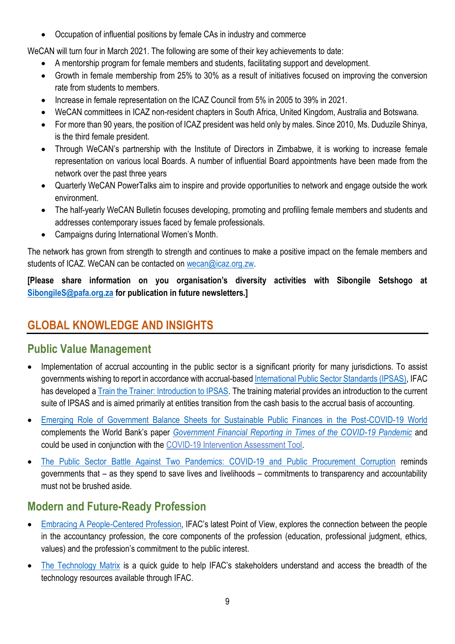Occupation of influential positions by female CAs in industry and commerce

WeCAN will turn four in March 2021. The following are some of their key achievements to date:

- A mentorship program for female members and students, facilitating support and development.
- Growth in female membership from 25% to 30% as a result of initiatives focused on improving the conversion rate from students to members.
- Increase in female representation on the ICAZ Council from 5% in 2005 to 39% in 2021.
- WeCAN committees in ICAZ non-resident chapters in South Africa, United Kingdom, Australia and Botswana.
- For more than 90 years, the position of ICAZ president was held only by males. Since 2010, Ms. Duduzile Shinya, is the third female president.
- Through WeCAN's partnership with the Institute of Directors in Zimbabwe, it is working to increase female representation on various local Boards. A number of influential Board appointments have been made from the network over the past three years
- Quarterly WeCAN PowerTalks aim to inspire and provide opportunities to network and engage outside the work environment.
- The half-yearly WeCAN Bulletin focuses developing, promoting and profiling female members and students and addresses contemporary issues faced by female professionals.
- Campaigns during International Women's Month.

The network has grown from strength to strength and continues to make a positive impact on the female members and students of ICAZ. WeCAN can be contacted on [wecan@icaz.org.zw.](mailto:wecan@icaz.org.zw)

**[Please share information on you organisation's diversity activities with Sibongile Setshogo at [SibongileS@pafa.org.za](mailto:SibongileS@pafa.org.za) for publication in future newsletters.]**

## **GLOBAL KNOWLEDGE AND INSIGHTS**

## **Public Value Management**

- Implementation of accrual accounting in the public sector is a significant priority for many jurisdictions. To assist governments wishing to report in accordance with accrual-base[d International Public Sector Standards \(IPSAS\),](https://www.ipsasb.org/publications/2020-handbook-international-public-sector-accounting-pronouncements) IFAC has developed a [Train the Trainer: Introduction to IPSAS.](https://www.ifac.org/knowledge-gateway/supporting-international-standards/discussion/train-trainer-introduction-ipsas) The training material provides an introduction to the current suite of IPSAS and is aimed primarily at entities transition from the cash basis to the accrual basis of accounting.
- [Emerging Role of Government Balance Sheets for Sustainable Public Finances in the Post-COVID-19 World](https://protect-za.mimecast.com/s/BUgRCRgKOzcrkw12H4veUE?domain=ifac.org) complements the World Bank's paper *[Government Financial Reporting in Times of the COVID-19 Pandemic](https://protect-za.mimecast.com/s/OzY7CVm2AESlLV6GHAXgSa?domain=openknowledge.worldbank.org)* and could be used in conjunction with the [COVID-19 Intervention Assessment Tool.](https://protect-za.mimecast.com/s/iiIFCWnKLGsjg1KJsPPGVi?domain=ifac.org)
- [The Public Sector Battle Against Two Pandemics: COVID-19 and Public Procurement Corruption](https://protect-za.mimecast.com/s/vYrqCj2gZ3hjjP8AsV07hx?domain=ifac.org) reminds governments that – as they spend to save lives and livelihoods – commitments to transparency and accountability must not be brushed aside.

## **Modern and Future-Ready Profession**

- [Embracing A People-Centered Profession](https://protect-za.mimecast.com/s/OHqmCGZXvlcJprRvu0HB1N?domain=ifac.org), IFAC's latest Point of View, explores the connection between the people in the accountancy profession, the core components of the profession (education, professional judgment, ethics, values) and the profession's commitment to the public interest.
- [The Technology Matrix](https://protect-za.mimecast.com/s/_cKnC2Rqx0FkJLXMtNjOaF?domain=ifac.org) is a quick guide to help IFAC's stakeholders understand and access the breadth of the technology resources available through IFAC.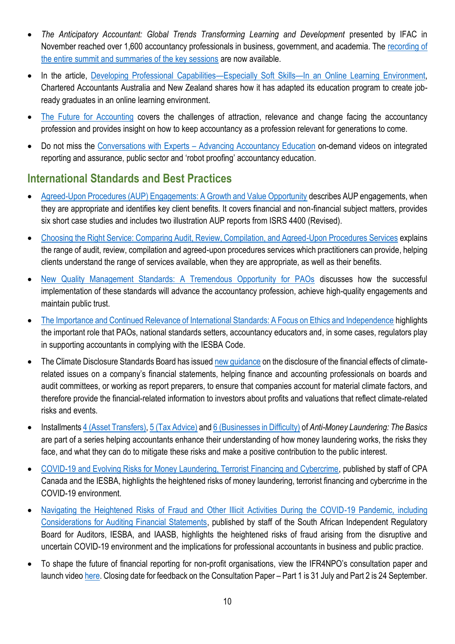- *The Anticipatory Accountant: Global Trends Transforming Learning and Development* presented by IFAC in November reached over 1,600 accountancy professionals in business, government, and academia. The [recording of](https://protect-za.mimecast.com/s/lVMPCj2gZ3hjMzXWsvmJp6?domain=ifac.org)  [the entire summit and summaries of the key sessions](https://protect-za.mimecast.com/s/lVMPCj2gZ3hjMzXWsvmJp6?domain=ifac.org) are now available.
- In the article, [Developing Professional Capabilities](https://protect-za.mimecast.com/s/KGixC76y1GImmolyUyOEJl?domain=ifac.org)—Especially Soft Skills—In an Online Learning Environment, Chartered Accountants Australia and New Zealand shares how it has adapted its education program to create jobready graduates in an online learning environment.
- [The Future for Accounting](https://protect-za.mimecast.com/s/4zt6C3lrQAImm0qxUPSY3X?domain=ifac.org) covers the challenges of attraction, relevance and change facing the accountancy profession and provides insight on how to keep accountancy as a profession relevant for generations to come.
- Do not miss the Conversations with Experts [Advancing Accountancy Education](https://protect-za.mimecast.com/s/tNLrC98A1KFmm9QxUWGaHi?domain=education.ifac.org) on-demand videos on integrated reporting and assurance, public sector and 'robot proofing' accountancy education.

## **International Standards and Best Practices**

- [Agreed-Upon Procedures \(AUP\) Engagements: A Growth and Value Opportunity](https://protect-za.mimecast.com/s/Dt3aCNxKLvhNrY84f9E2gB?domain=ifac.org) describes AUP engagements, when they are appropriate and identifies key client benefits. It covers financial and non-financial subject matters, provides six short case studies and includes two illustration AUP reports from ISRS 4400 (Revised).
- [Choosing the Right Service: Comparing Audit, Review, Compilation, and Agreed-Upon Procedures Services](https://protect-za.mimecast.com/s/M-IGCO7XMwsA9DjWUJ3X1E?domain=ifac.org) explains the range of audit, review, compilation and agreed-upon procedures services which practitioners can provide, helping clients understand the range of services available, when they are appropriate, as well as their benefits.
- [New Quality Management Standards: A Tremendous Opportunity for PAOs](https://protect-za.mimecast.com/s/nNq-CZ4GYLcMM2lxHVnFuj?domain=ifac.org) discusses how the successful implementation of these standards will advance the accountancy profession, achieve high-quality engagements and maintain public trust.
- [The Importance and Continued Relevance of International Standards: A Focus on Ethics and Independence](https://protect-za.mimecast.com/s/UJSJC1jpWyspDroVC5jae2?domain=ifac.org) highlights the important role that PAOs, national standards setters, accountancy educators and, in some cases, regulators play in supporting accountants in complying with the IESBA Code.
- The Climate Disclosure Standards Board has issued new quidance on the disclosure of the financial effects of climaterelated issues on a company's financial statements, helping finance and accounting professionals on boards and audit committees, or working as report preparers, to ensure that companies account for material climate factors, and therefore provide the financial-related information to investors about profits and valuations that reflect climate-related risks and events.
- Installment[s 4 \(Asset Transfers\),](https://protect-za.mimecast.com/s/gGVWCX6XLJInylRwt868Is?domain=ifac.org) [5 \(Tax Advice\)](https://protect-za.mimecast.com/s/zfV1CX6XLJInn02GCxZY3w?domain=ifac.org) an[d 6 \(Businesses in Difficulty\)](https://www.ifac.org/knowledge-gateway/developing-accountancy-profession/publications/anti-money-laundering-basics-installment-6-businesses-difficulty?utm_source=IFAC+Main+List&utm_campaign=bccc4386b4-SMP_Survey_Email_to_MBs_11_3_2016_COPY_01&utm_medium=email&utm_term=0_cc08d67019-bccc4386b4-80635420) of *Anti-Money Laundering: The Basics* are part of a series helping accountants enhance their understanding of how money laundering works, the risks they face, and what they can do to mitigate these risks and make a positive contribution to the public interest.
- [COVID-19 and Evolving Risks for Money Laundering, Terrorist Financing and Cybercrime,](https://protect-za.mimecast.com/s/q1ANC98A1KFmgJXGfA8r0b?domain=ethicsboard.org) published by staff of CPA Canada and the IESBA, highlights the heightened risks of money laundering, terrorist financing and cybercrime in the COVID-19 environment.
- [Navigating the Heightened Risks of Fraud and Other Illicit Activities During the COVID-19 Pandemic, including](https://protect-za.mimecast.com/s/Z-k9C8qz1JijZm0osGl5vW?domain=ethicsboard.org)  [Considerations for Auditing Financial Statements,](https://protect-za.mimecast.com/s/Z-k9C8qz1JijZm0osGl5vW?domain=ethicsboard.org) published by staff of the South African Independent Regulatory Board for Auditors, IESBA, and IAASB, highlights the heightened risks of fraud arising from the disruptive and uncertain COVID-19 environment and the implications for professional accountants in business and public practice.
- To shape the future of financial reporting for non-profit organisations, view the IFR4NPO's consultation paper and launch video [here.](https://protect-za.mimecast.com/s/J66lCMjKwrs50p1NCRRGPY?domain=eur01.safelinks.protection.outlook.com) Closing date for feedback on the Consultation Paper – Part 1 is 31 July and Part 2 is 24 September.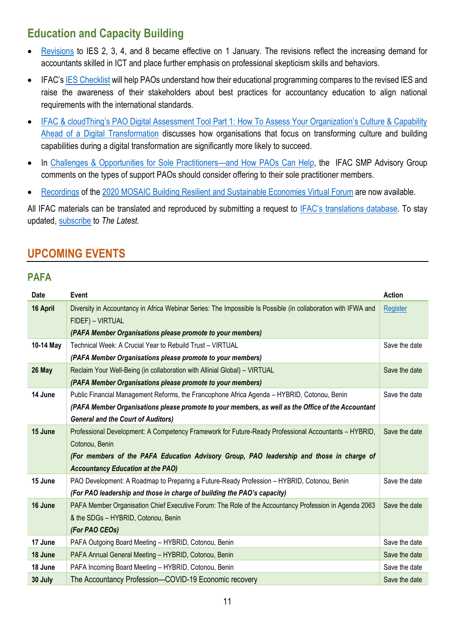## **Education and Capacity Building**

- [Revisions](https://protect-za.mimecast.com/s/DMkEC0goYxc2Dn51tMC8O5?domain=iaesb.org) to IES 2, 3, 4, and 8 became effective on 1 January. The revisions reflect the increasing demand for accountants skilled in ICT and place further emphasis on professional skepticism skills and behaviors.
- IFAC's [IES Checklist](https://protect-za.mimecast.com/s/bE67Ck5j83sn6Djxtqv9AQ?domain=ifac.org) will help PAOs understand how their educational programming compares to the revised IES and raise the awareness of their stakeholders about best practices for accountancy education to align national requirements with the international standards.
- IFAC & cloudThing's PAO Digital Assessment Tool Part 1: How To Assess Your Organization's Culture & Capability [Ahead of a Digital Transformation](https://protect-za.mimecast.com/s/gAPXCY6YWKI33OMgSrpODr?domain=ifac.org) discusses how organisations that focus on transforming culture and building capabilities during a digital transformation are significantly more likely to succeed.
- In [Challenges & Opportunities for Sole Practitioners](https://protect-za.mimecast.com/s/I8XpCZ4GYLcMV1LJCZD5hp?domain=ifac.org)—and How PAOs Can Help, the IFAC SMP Advisory Group comments on the types of support PAOs should consider offering to their sole practitioner members.
- [Recordings](https://protect-za.mimecast.com/s/50ioCQ1Knyf6Enp0hKwz_I?domain=ifac.org) of the [2020 MOSAIC Building Resilient and Sustainable Economies Virtual Forum](https://protect-za.mimecast.com/s/50ioCQ1Knyf6Enp0hKwz_I?domain=ifac.org) are now available.

All IFAC materials can be translated and reproduced by submitting a request to [IFAC's translations](https://protect-za.mimecast.com/s/6vgvCKO71pHqqmO9fMD0OQ?domain=ifac.org) database. To stay updated, [subscribe](https://protect-za.mimecast.com/s/DnSSCLg17qcPP4KXuqF8PO?domain=ifac.org) to *The Latest.*

## **UPCOMING EVENTS**

### **PAFA**

| Date      | Event                                                                                                         | <b>Action</b> |
|-----------|---------------------------------------------------------------------------------------------------------------|---------------|
| 16 April  | Diversity in Accountancy in Africa Webinar Series: The Impossible Is Possible (in collaboration with IFWA and | Register      |
|           | FIDEF) - VIRTUAL                                                                                              |               |
|           | (PAFA Member Organisations please promote to your members)                                                    |               |
| 10-14 May | Technical Week: A Crucial Year to Rebuild Trust - VIRTUAL                                                     | Save the date |
|           | (PAFA Member Organisations please promote to your members)                                                    |               |
| 26 May    | Reclaim Your Well-Being (in collaboration with Allinial Global) - VIRTUAL                                     | Save the date |
|           | (PAFA Member Organisations please promote to your members)                                                    |               |
| 14 June   | Public Financial Management Reforms, the Francophone Africa Agenda - HYBRID, Cotonou, Benin                   | Save the date |
|           | (PAFA Member Organisations please promote to your members, as well as the Office of the Accountant            |               |
|           | <b>General and the Court of Auditors)</b>                                                                     |               |
| 15 June   | Professional Development: A Competency Framework for Future-Ready Professional Accountants - HYBRID,          | Save the date |
|           | Cotonou, Benin                                                                                                |               |
|           | (For members of the PAFA Education Advisory Group, PAO leadership and those in charge of                      |               |
|           | <b>Accountancy Education at the PAO)</b>                                                                      |               |
| 15 June   | PAO Development: A Roadmap to Preparing a Future-Ready Profession - HYBRID, Cotonou, Benin                    | Save the date |
|           | (For PAO leadership and those in charge of building the PAO's capacity)                                       |               |
| 16 June   | PAFA Member Organisation Chief Executive Forum: The Role of the Accountancy Profession in Agenda 2063         | Save the date |
|           | & the SDGs - HYBRID, Cotonou, Benin                                                                           |               |
|           | (For PAO CEOs)                                                                                                |               |
| 17 June   | PAFA Outgoing Board Meeting - HYBRID, Cotonou, Benin                                                          | Save the date |
| 18 June   | PAFA Annual General Meeting - HYBRID, Cotonou, Benin                                                          | Save the date |
| 18 June   | PAFA Incoming Board Meeting - HYBRID, Cotonou, Benin                                                          | Save the date |
| 30 July   | The Accountancy Profession-COVID-19 Economic recovery                                                         | Save the date |